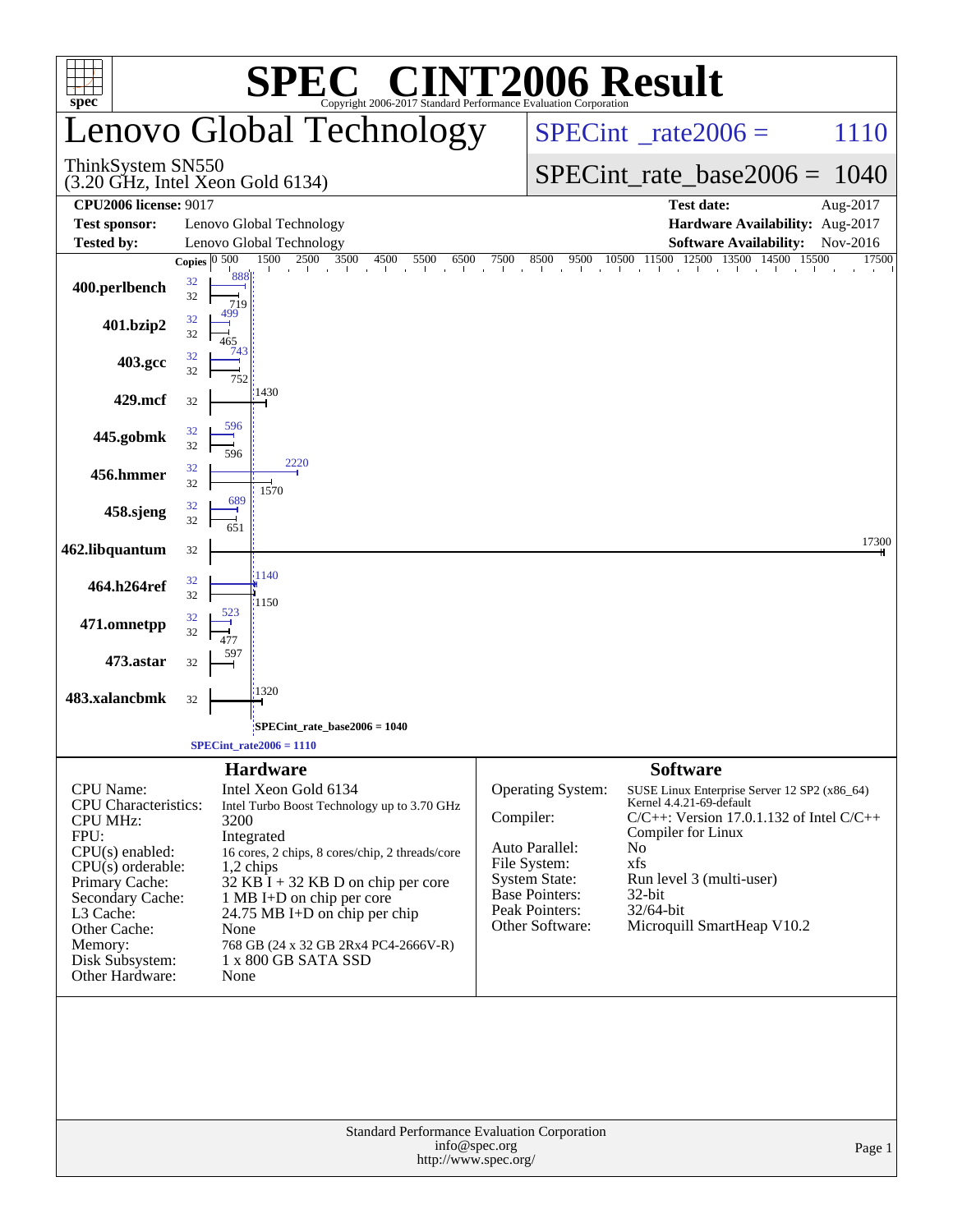|                                                                                                                                                                                                                                            | $\bigcap \mathbb{R}$ (                                                                                                                                                                                                                                                                                                                                      | <b>INT2006 Result</b>                                                                                                                                         |                                                                                                                                                                                                                                               |  |  |  |  |
|--------------------------------------------------------------------------------------------------------------------------------------------------------------------------------------------------------------------------------------------|-------------------------------------------------------------------------------------------------------------------------------------------------------------------------------------------------------------------------------------------------------------------------------------------------------------------------------------------------------------|---------------------------------------------------------------------------------------------------------------------------------------------------------------|-----------------------------------------------------------------------------------------------------------------------------------------------------------------------------------------------------------------------------------------------|--|--|--|--|
| $spec^{\circ}$                                                                                                                                                                                                                             | Copyright 2006-2017 Standard Performance Evaluation Corporation<br>Lenovo Global Technology                                                                                                                                                                                                                                                                 |                                                                                                                                                               | $SPECint^{\circ}$ <sub>_rate2006</sub> =<br>1110                                                                                                                                                                                              |  |  |  |  |
| ThinkSystem SN550                                                                                                                                                                                                                          | $(3.20 \text{ GHz}, \text{Intel Xeon Gold } 6134)$                                                                                                                                                                                                                                                                                                          |                                                                                                                                                               | $SPECint_rate_base2006 = 1040$                                                                                                                                                                                                                |  |  |  |  |
| <b>CPU2006 license: 9017</b>                                                                                                                                                                                                               |                                                                                                                                                                                                                                                                                                                                                             |                                                                                                                                                               | <b>Test date:</b><br>Aug-2017                                                                                                                                                                                                                 |  |  |  |  |
| <b>Test sponsor:</b>                                                                                                                                                                                                                       | Lenovo Global Technology                                                                                                                                                                                                                                                                                                                                    |                                                                                                                                                               | Hardware Availability: Aug-2017                                                                                                                                                                                                               |  |  |  |  |
| <b>Tested by:</b>                                                                                                                                                                                                                          | Lenovo Global Technology<br>Copies $ 0, 500 $<br>1500<br>2500 3500<br>4500<br>5500<br>6500                                                                                                                                                                                                                                                                  | 7500                                                                                                                                                          | <b>Software Availability:</b><br>Nov-2016<br>$8500$ $9500$ $10500$ $11500$ $12500$ $13500$ $14500$<br>15500<br>17500                                                                                                                          |  |  |  |  |
| 400.perlbench                                                                                                                                                                                                                              | the second contract the second contract of the second contract of the second contract of the second second contract of the second second contract of the second second second and second second and second second second secon<br>888<br>32<br>32<br>719                                                                                                    |                                                                                                                                                               |                                                                                                                                                                                                                                               |  |  |  |  |
| 401.bzip2                                                                                                                                                                                                                                  | 32<br>32<br>465<br>743                                                                                                                                                                                                                                                                                                                                      |                                                                                                                                                               |                                                                                                                                                                                                                                               |  |  |  |  |
| 403.gcc                                                                                                                                                                                                                                    | 32<br>32<br>752<br>1430                                                                                                                                                                                                                                                                                                                                     |                                                                                                                                                               |                                                                                                                                                                                                                                               |  |  |  |  |
| 429.mcf                                                                                                                                                                                                                                    | 32<br>596                                                                                                                                                                                                                                                                                                                                                   |                                                                                                                                                               |                                                                                                                                                                                                                                               |  |  |  |  |
| 445.gobmk                                                                                                                                                                                                                                  | 32<br>32<br>596<br>2220                                                                                                                                                                                                                                                                                                                                     |                                                                                                                                                               |                                                                                                                                                                                                                                               |  |  |  |  |
| 456.hmmer                                                                                                                                                                                                                                  | 32<br>32<br>1570                                                                                                                                                                                                                                                                                                                                            |                                                                                                                                                               |                                                                                                                                                                                                                                               |  |  |  |  |
| 458.sjeng                                                                                                                                                                                                                                  | 689<br>32<br>32<br>651                                                                                                                                                                                                                                                                                                                                      |                                                                                                                                                               |                                                                                                                                                                                                                                               |  |  |  |  |
| 462.libquantum                                                                                                                                                                                                                             | 32                                                                                                                                                                                                                                                                                                                                                          |                                                                                                                                                               | 17300                                                                                                                                                                                                                                         |  |  |  |  |
| 464.h264ref                                                                                                                                                                                                                                | 1140<br>32<br>32<br>1150                                                                                                                                                                                                                                                                                                                                    |                                                                                                                                                               |                                                                                                                                                                                                                                               |  |  |  |  |
| 471.omnetpp                                                                                                                                                                                                                                | 32<br>32                                                                                                                                                                                                                                                                                                                                                    |                                                                                                                                                               |                                                                                                                                                                                                                                               |  |  |  |  |
| 473.astar                                                                                                                                                                                                                                  | 32                                                                                                                                                                                                                                                                                                                                                          |                                                                                                                                                               |                                                                                                                                                                                                                                               |  |  |  |  |
| 483.xalancbmk                                                                                                                                                                                                                              | 1320<br>32                                                                                                                                                                                                                                                                                                                                                  |                                                                                                                                                               |                                                                                                                                                                                                                                               |  |  |  |  |
|                                                                                                                                                                                                                                            | SPECint_rate_base2006 = 1040<br>$SPECint_rate2006 = 1110$                                                                                                                                                                                                                                                                                                   |                                                                                                                                                               |                                                                                                                                                                                                                                               |  |  |  |  |
|                                                                                                                                                                                                                                            | <b>Hardware</b>                                                                                                                                                                                                                                                                                                                                             |                                                                                                                                                               | <b>Software</b>                                                                                                                                                                                                                               |  |  |  |  |
| <b>CPU</b> Name:<br><b>CPU</b> Characteristics:<br><b>CPU MHz:</b><br>FPU:<br>$CPU(s)$ enabled:<br>$CPU(s)$ orderable:<br>Primary Cache:<br>Secondary Cache:<br>L3 Cache:<br>Other Cache:<br>Memory:<br>Disk Subsystem:<br>Other Hardware: | Intel Xeon Gold 6134<br>Intel Turbo Boost Technology up to 3.70 GHz<br>3200<br>Integrated<br>16 cores, 2 chips, 8 cores/chip, 2 threads/core<br>$1,2$ chips<br>32 KB $\overline{I}$ + 32 KB D on chip per core<br>1 MB I+D on chip per core<br>24.75 MB I+D on chip per chip<br>None<br>768 GB (24 x 32 GB 2Rx4 PC4-2666V-R)<br>1 x 800 GB SATA SSD<br>None | <b>Operating System:</b><br>Compiler:<br>Auto Parallel:<br>File System:<br><b>System State:</b><br><b>Base Pointers:</b><br>Peak Pointers:<br>Other Software: | SUSE Linux Enterprise Server 12 SP2 (x86_64)<br>Kernel 4.4.21-69-default<br>$C/C++$ : Version 17.0.1.132 of Intel $C/C++$<br>Compiler for Linux<br>No<br>xfs<br>Run level 3 (multi-user)<br>32-bit<br>32/64-bit<br>Microquill SmartHeap V10.2 |  |  |  |  |
|                                                                                                                                                                                                                                            | Standard Performance Evaluation Corporation                                                                                                                                                                                                                                                                                                                 |                                                                                                                                                               |                                                                                                                                                                                                                                               |  |  |  |  |
|                                                                                                                                                                                                                                            | info@spec.org<br>http://www.spec.org/                                                                                                                                                                                                                                                                                                                       |                                                                                                                                                               | Page 1                                                                                                                                                                                                                                        |  |  |  |  |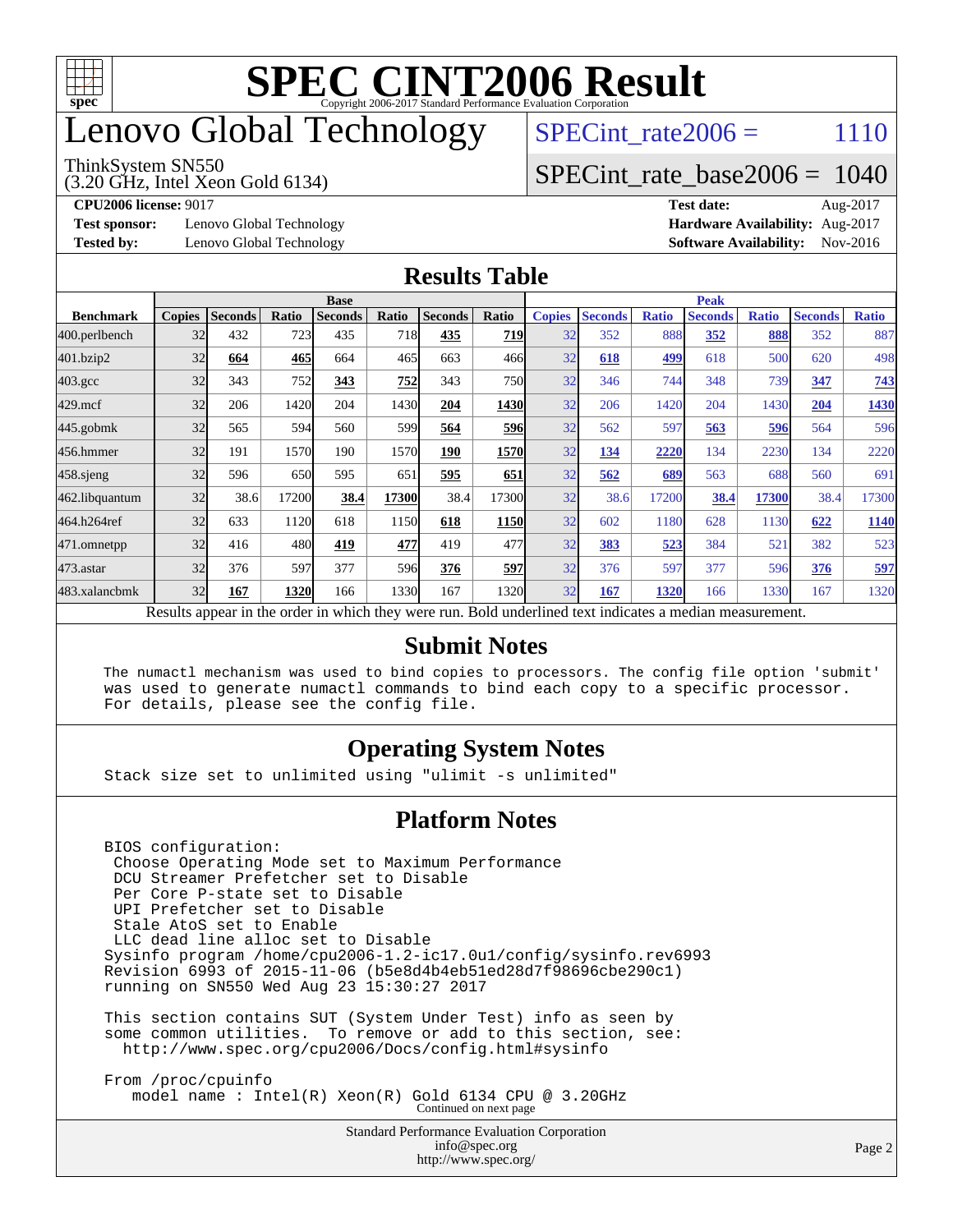

## enovo Global Technology

#### ThinkSystem SN550

(3.20 GHz, Intel Xeon Gold 6134)

SPECint rate $2006 = 1110$ 

#### [SPECint\\_rate\\_base2006 =](http://www.spec.org/auto/cpu2006/Docs/result-fields.html#SPECintratebase2006) 1040

**[Test sponsor:](http://www.spec.org/auto/cpu2006/Docs/result-fields.html#Testsponsor)** Lenovo Global Technology **[Hardware Availability:](http://www.spec.org/auto/cpu2006/Docs/result-fields.html#HardwareAvailability)** Aug-2017

**[CPU2006 license:](http://www.spec.org/auto/cpu2006/Docs/result-fields.html#CPU2006license)** 9017 **[Test date:](http://www.spec.org/auto/cpu2006/Docs/result-fields.html#Testdate)** Aug-2017 **[Tested by:](http://www.spec.org/auto/cpu2006/Docs/result-fields.html#Testedby)** Lenovo Global Technology **[Software Availability:](http://www.spec.org/auto/cpu2006/Docs/result-fields.html#SoftwareAvailability)** Nov-2016

#### **[Results Table](http://www.spec.org/auto/cpu2006/Docs/result-fields.html#ResultsTable)**

|                                                                                                          | <b>Base</b>   |                |       |                |            |                | <b>Peak</b> |               |                |              |                |              |                |              |
|----------------------------------------------------------------------------------------------------------|---------------|----------------|-------|----------------|------------|----------------|-------------|---------------|----------------|--------------|----------------|--------------|----------------|--------------|
| <b>Benchmark</b>                                                                                         | <b>Copies</b> | <b>Seconds</b> | Ratio | <b>Seconds</b> | Ratio      | <b>Seconds</b> | Ratio       | <b>Copies</b> | <b>Seconds</b> | <b>Ratio</b> | <b>Seconds</b> | <b>Ratio</b> | <b>Seconds</b> | <b>Ratio</b> |
| 400.perlbench                                                                                            | 32            | 432            | 723   | 435            | <b>718</b> | 435            | 719         | 32            | 352            | 888          | 352            | 888          | 352            | 887          |
| 401.bzip2                                                                                                | 32            | 664            | 465   | 664            | 465        | 663            | 466         | 32            | 618            | 499          | 618            | 500          | 620            | 498          |
| $403.\mathrm{gcc}$                                                                                       | 32            | 343            | 752   | 343            | 752        | 343            | <b>750</b>  | 32            | 346            | 744          | 348            | 739          | 347            | 743          |
| $429$ .mcf                                                                                               | 32            | 206            | 1420  | 204            | 1430       | 204            | <b>1430</b> | 32            | 206            | 1420         | 204            | 1430         | 204            | 1430         |
| $445$ .gobmk                                                                                             | 32            | 565            | 594   | 560            | 599        | 564            | 596         | 32            | 562            | 597          | 563            | 596          | 564            | 596          |
| 456.hmmer                                                                                                | 32            | 191            | 1570  | 190            | 1570       | 190            | 1570        | 32            | 134            | 2220         | 134            | 2230         | 134            | 2220         |
| $458$ .sjeng                                                                                             | 32            | 596            | 650   | 595            | 651        | 595            | 651         | 32            | 562            | 689          | 563            | 688          | 560            | 691          |
| 462.libquantum                                                                                           | 32            | 38.6           | 17200 | 38.4           | 17300      | 38.4           | 17300       | 32            | 38.6           | 17200        | 38.4           | 17300        | 38.4           | 17300        |
| 464.h264ref                                                                                              | 32            | 633            | 1120  | 618            | 1150       | 618            | 1150        | 32            | 602            | 1180         | 628            | 1130         | 622            | 1140         |
| 471.omnetpp                                                                                              | 32            | 416            | 480   | 419            | 477        | 419            | 477         | 32            | 383            | 523          | 384            | 521          | 382            | 523          |
| 473.astar                                                                                                | 32            | 376            | 597   | 377            | 596        | 376            | 597         | 32            | 376            | 597          | 377            | 596          | 376            | 597          |
| 483.xalancbmk                                                                                            | 32            | 167            | 1320  | 166            | 1330       | 167            | 1320        | 32            | 167            | 1320         | 166            | 1330         | 167            | 1320         |
| Results appear in the order in which they were run. Bold underlined text indicates a median measurement. |               |                |       |                |            |                |             |               |                |              |                |              |                |              |

#### **[Submit Notes](http://www.spec.org/auto/cpu2006/Docs/result-fields.html#SubmitNotes)**

 The numactl mechanism was used to bind copies to processors. The config file option 'submit' was used to generate numactl commands to bind each copy to a specific processor. For details, please see the config file.

#### **[Operating System Notes](http://www.spec.org/auto/cpu2006/Docs/result-fields.html#OperatingSystemNotes)**

Stack size set to unlimited using "ulimit -s unlimited"

#### **[Platform Notes](http://www.spec.org/auto/cpu2006/Docs/result-fields.html#PlatformNotes)**

 BIOS configuration: Choose Operating Mode set to Maximum Performance DCU Streamer Prefetcher set to Disable Per Core P-state set to Disable UPI Prefetcher set to Disable Stale AtoS set to Enable LLC dead line alloc set to Disable Sysinfo program /home/cpu2006-1.2-ic17.0u1/config/sysinfo.rev6993 Revision 6993 of 2015-11-06 (b5e8d4b4eb51ed28d7f98696cbe290c1) running on SN550 Wed Aug 23 15:30:27 2017 This section contains SUT (System Under Test) info as seen by

 some common utilities. To remove or add to this section, see: <http://www.spec.org/cpu2006/Docs/config.html#sysinfo>

 From /proc/cpuinfo model name : Intel(R) Xeon(R) Gold 6134 CPU @ 3.20GHz Continued on next page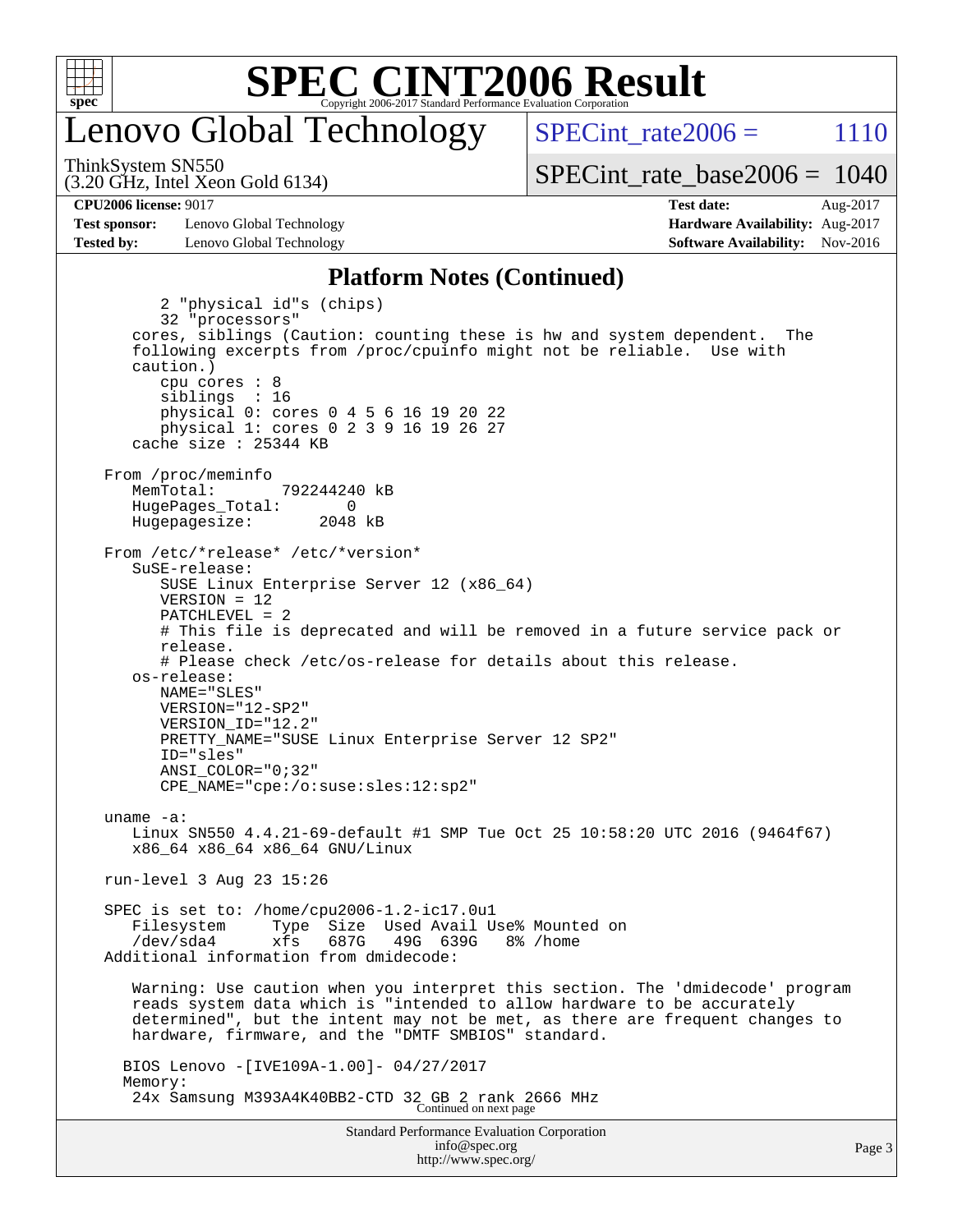

## enovo Global Technology

SPECint rate  $2006 = 1110$ 

(3.20 GHz, Intel Xeon Gold 6134) ThinkSystem SN550

[SPECint\\_rate\\_base2006 =](http://www.spec.org/auto/cpu2006/Docs/result-fields.html#SPECintratebase2006) 1040

**[Test sponsor:](http://www.spec.org/auto/cpu2006/Docs/result-fields.html#Testsponsor)** Lenovo Global Technology **[Hardware Availability:](http://www.spec.org/auto/cpu2006/Docs/result-fields.html#HardwareAvailability)** Aug-2017 **[Tested by:](http://www.spec.org/auto/cpu2006/Docs/result-fields.html#Testedby)** Lenovo Global Technology **[Software Availability:](http://www.spec.org/auto/cpu2006/Docs/result-fields.html#SoftwareAvailability)** Nov-2016

**[CPU2006 license:](http://www.spec.org/auto/cpu2006/Docs/result-fields.html#CPU2006license)** 9017 **[Test date:](http://www.spec.org/auto/cpu2006/Docs/result-fields.html#Testdate)** Aug-2017

#### **[Platform Notes \(Continued\)](http://www.spec.org/auto/cpu2006/Docs/result-fields.html#PlatformNotes)**

Standard Performance Evaluation Corporation 2 "physical id"s (chips) 32 "processors" cores, siblings (Caution: counting these is hw and system dependent. The following excerpts from /proc/cpuinfo might not be reliable. Use with caution.) cpu cores : 8 siblings : 16 physical 0: cores 0 4 5 6 16 19 20 22 physical 1: cores 0 2 3 9 16 19 26 27 cache size : 25344 KB From /proc/meminfo MemTotal: 792244240 kB HugePages\_Total: 0<br>Hugepagesize: 2048 kB Hugepagesize: From /etc/\*release\* /etc/\*version\* SuSE-release: SUSE Linux Enterprise Server 12 (x86\_64) VERSION = 12 PATCHLEVEL = 2 # This file is deprecated and will be removed in a future service pack or release. # Please check /etc/os-release for details about this release. os-release: NAME="SLES" VERSION="12-SP2" VERSION\_ID="12.2" PRETTY\_NAME="SUSE Linux Enterprise Server 12 SP2" ID="sles" ANSI\_COLOR="0;32" CPE\_NAME="cpe:/o:suse:sles:12:sp2" uname -a: Linux SN550 4.4.21-69-default #1 SMP Tue Oct 25 10:58:20 UTC 2016 (9464f67) x86\_64 x86\_64 x86\_64 GNU/Linux run-level 3 Aug 23 15:26 SPEC is set to: /home/cpu2006-1.2-ic17.0u1 Filesystem Type Size Used Avail Use% Mounted on /dev/sda4 xfs 687G 49G 639G 8% /home Additional information from dmidecode: Warning: Use caution when you interpret this section. The 'dmidecode' program reads system data which is "intended to allow hardware to be accurately determined", but the intent may not be met, as there are frequent changes to hardware, firmware, and the "DMTF SMBIOS" standard. BIOS Lenovo -[IVE109A-1.00]- 04/27/2017 Memory: 24x Samsung M393A4K40BB2-CTD 32 GB 2 rank 2666 MHz Continued on next page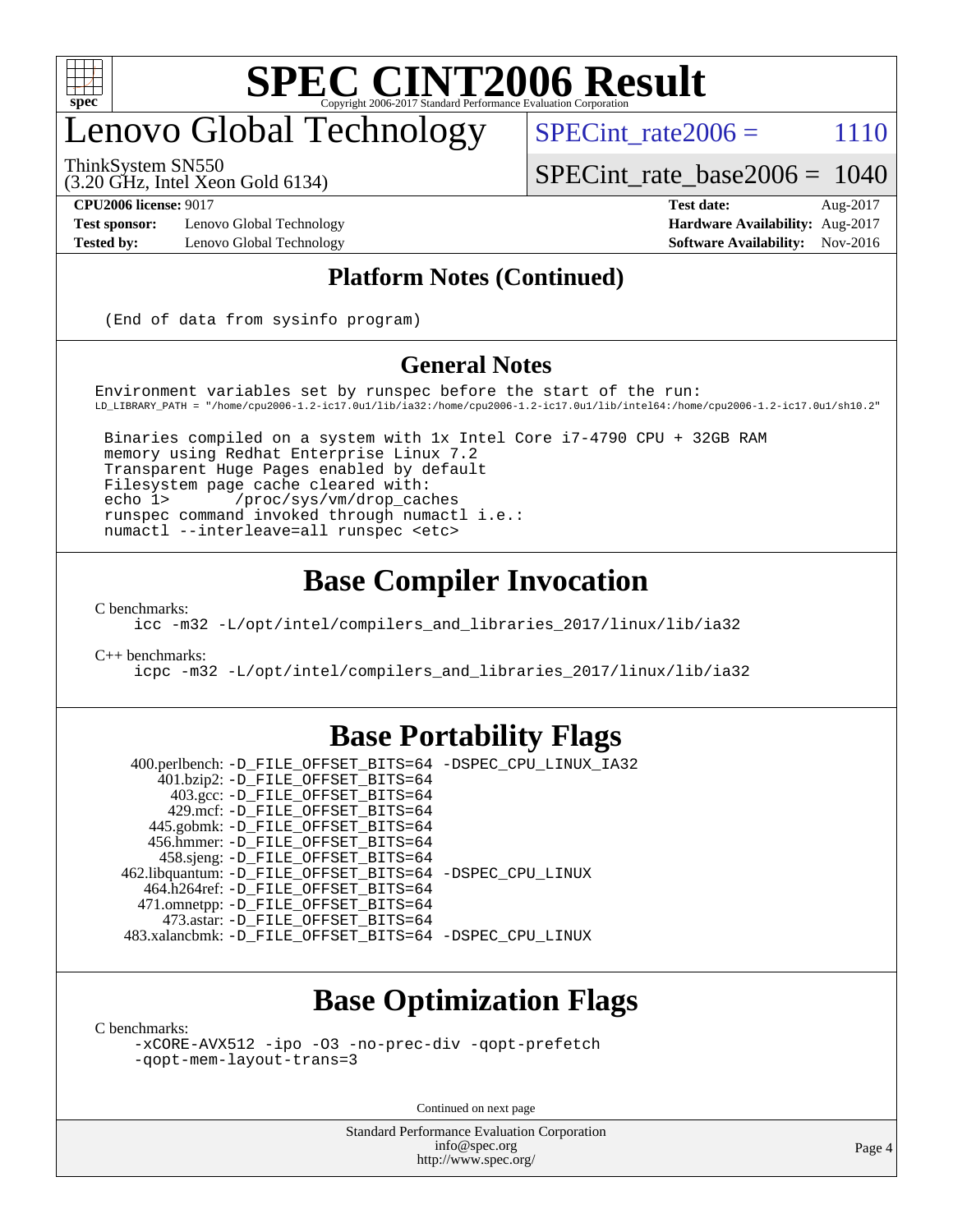

## enovo Global Technology

SPECint rate $2006 = 1110$ 

[SPECint\\_rate\\_base2006 =](http://www.spec.org/auto/cpu2006/Docs/result-fields.html#SPECintratebase2006) 1040

ThinkSystem SN550

(3.20 GHz, Intel Xeon Gold 6134)

**[Test sponsor:](http://www.spec.org/auto/cpu2006/Docs/result-fields.html#Testsponsor)** Lenovo Global Technology **[Hardware Availability:](http://www.spec.org/auto/cpu2006/Docs/result-fields.html#HardwareAvailability)** Aug-2017 **[Tested by:](http://www.spec.org/auto/cpu2006/Docs/result-fields.html#Testedby)** Lenovo Global Technology **[Software Availability:](http://www.spec.org/auto/cpu2006/Docs/result-fields.html#SoftwareAvailability)** Nov-2016

**[CPU2006 license:](http://www.spec.org/auto/cpu2006/Docs/result-fields.html#CPU2006license)** 9017 **[Test date:](http://www.spec.org/auto/cpu2006/Docs/result-fields.html#Testdate)** Aug-2017

#### **[Platform Notes \(Continued\)](http://www.spec.org/auto/cpu2006/Docs/result-fields.html#PlatformNotes)**

(End of data from sysinfo program)

#### **[General Notes](http://www.spec.org/auto/cpu2006/Docs/result-fields.html#GeneralNotes)**

Environment variables set by runspec before the start of the run: LD\_LIBRARY\_PATH = "/home/cpu2006-1.2-ic17.0u1/lib/ia32:/home/cpu2006-1.2-ic17.0u1/lib/intel64:/home/cpu2006-1.2-ic17.0u1/sh10.2"

 Binaries compiled on a system with 1x Intel Core i7-4790 CPU + 32GB RAM memory using Redhat Enterprise Linux 7.2 Transparent Huge Pages enabled by default Filesystem page cache cleared with: echo 1> /proc/sys/vm/drop\_caches runspec command invoked through numactl i.e.: numactl --interleave=all runspec <etc>

### **[Base Compiler Invocation](http://www.spec.org/auto/cpu2006/Docs/result-fields.html#BaseCompilerInvocation)**

[C benchmarks](http://www.spec.org/auto/cpu2006/Docs/result-fields.html#Cbenchmarks):

[icc -m32 -L/opt/intel/compilers\\_and\\_libraries\\_2017/linux/lib/ia32](http://www.spec.org/cpu2006/results/res2017q4/cpu2006-20170918-50093.flags.html#user_CCbase_intel_icc_c29f3ff5a7ed067b11e4ec10a03f03ae)

[C++ benchmarks:](http://www.spec.org/auto/cpu2006/Docs/result-fields.html#CXXbenchmarks)

[icpc -m32 -L/opt/intel/compilers\\_and\\_libraries\\_2017/linux/lib/ia32](http://www.spec.org/cpu2006/results/res2017q4/cpu2006-20170918-50093.flags.html#user_CXXbase_intel_icpc_8c35c7808b62dab9ae41a1aa06361b6b)

### **[Base Portability Flags](http://www.spec.org/auto/cpu2006/Docs/result-fields.html#BasePortabilityFlags)**

 400.perlbench: [-D\\_FILE\\_OFFSET\\_BITS=64](http://www.spec.org/cpu2006/results/res2017q4/cpu2006-20170918-50093.flags.html#user_basePORTABILITY400_perlbench_file_offset_bits_64_438cf9856305ebd76870a2c6dc2689ab) [-DSPEC\\_CPU\\_LINUX\\_IA32](http://www.spec.org/cpu2006/results/res2017q4/cpu2006-20170918-50093.flags.html#b400.perlbench_baseCPORTABILITY_DSPEC_CPU_LINUX_IA32) 401.bzip2: [-D\\_FILE\\_OFFSET\\_BITS=64](http://www.spec.org/cpu2006/results/res2017q4/cpu2006-20170918-50093.flags.html#user_basePORTABILITY401_bzip2_file_offset_bits_64_438cf9856305ebd76870a2c6dc2689ab) 403.gcc: [-D\\_FILE\\_OFFSET\\_BITS=64](http://www.spec.org/cpu2006/results/res2017q4/cpu2006-20170918-50093.flags.html#user_basePORTABILITY403_gcc_file_offset_bits_64_438cf9856305ebd76870a2c6dc2689ab) 429.mcf: [-D\\_FILE\\_OFFSET\\_BITS=64](http://www.spec.org/cpu2006/results/res2017q4/cpu2006-20170918-50093.flags.html#user_basePORTABILITY429_mcf_file_offset_bits_64_438cf9856305ebd76870a2c6dc2689ab) 445.gobmk: [-D\\_FILE\\_OFFSET\\_BITS=64](http://www.spec.org/cpu2006/results/res2017q4/cpu2006-20170918-50093.flags.html#user_basePORTABILITY445_gobmk_file_offset_bits_64_438cf9856305ebd76870a2c6dc2689ab) 456.hmmer: [-D\\_FILE\\_OFFSET\\_BITS=64](http://www.spec.org/cpu2006/results/res2017q4/cpu2006-20170918-50093.flags.html#user_basePORTABILITY456_hmmer_file_offset_bits_64_438cf9856305ebd76870a2c6dc2689ab) 458.sjeng: [-D\\_FILE\\_OFFSET\\_BITS=64](http://www.spec.org/cpu2006/results/res2017q4/cpu2006-20170918-50093.flags.html#user_basePORTABILITY458_sjeng_file_offset_bits_64_438cf9856305ebd76870a2c6dc2689ab) 462.libquantum: [-D\\_FILE\\_OFFSET\\_BITS=64](http://www.spec.org/cpu2006/results/res2017q4/cpu2006-20170918-50093.flags.html#user_basePORTABILITY462_libquantum_file_offset_bits_64_438cf9856305ebd76870a2c6dc2689ab) [-DSPEC\\_CPU\\_LINUX](http://www.spec.org/cpu2006/results/res2017q4/cpu2006-20170918-50093.flags.html#b462.libquantum_baseCPORTABILITY_DSPEC_CPU_LINUX) 464.h264ref: [-D\\_FILE\\_OFFSET\\_BITS=64](http://www.spec.org/cpu2006/results/res2017q4/cpu2006-20170918-50093.flags.html#user_basePORTABILITY464_h264ref_file_offset_bits_64_438cf9856305ebd76870a2c6dc2689ab) 471.omnetpp: [-D\\_FILE\\_OFFSET\\_BITS=64](http://www.spec.org/cpu2006/results/res2017q4/cpu2006-20170918-50093.flags.html#user_basePORTABILITY471_omnetpp_file_offset_bits_64_438cf9856305ebd76870a2c6dc2689ab) 473.astar: [-D\\_FILE\\_OFFSET\\_BITS=64](http://www.spec.org/cpu2006/results/res2017q4/cpu2006-20170918-50093.flags.html#user_basePORTABILITY473_astar_file_offset_bits_64_438cf9856305ebd76870a2c6dc2689ab) 483.xalancbmk: [-D\\_FILE\\_OFFSET\\_BITS=64](http://www.spec.org/cpu2006/results/res2017q4/cpu2006-20170918-50093.flags.html#user_basePORTABILITY483_xalancbmk_file_offset_bits_64_438cf9856305ebd76870a2c6dc2689ab) [-DSPEC\\_CPU\\_LINUX](http://www.spec.org/cpu2006/results/res2017q4/cpu2006-20170918-50093.flags.html#b483.xalancbmk_baseCXXPORTABILITY_DSPEC_CPU_LINUX)

### **[Base Optimization Flags](http://www.spec.org/auto/cpu2006/Docs/result-fields.html#BaseOptimizationFlags)**

[C benchmarks](http://www.spec.org/auto/cpu2006/Docs/result-fields.html#Cbenchmarks):

[-xCORE-AVX512](http://www.spec.org/cpu2006/results/res2017q4/cpu2006-20170918-50093.flags.html#user_CCbase_f-xCORE-AVX512) [-ipo](http://www.spec.org/cpu2006/results/res2017q4/cpu2006-20170918-50093.flags.html#user_CCbase_f-ipo) [-O3](http://www.spec.org/cpu2006/results/res2017q4/cpu2006-20170918-50093.flags.html#user_CCbase_f-O3) [-no-prec-div](http://www.spec.org/cpu2006/results/res2017q4/cpu2006-20170918-50093.flags.html#user_CCbase_f-no-prec-div) [-qopt-prefetch](http://www.spec.org/cpu2006/results/res2017q4/cpu2006-20170918-50093.flags.html#user_CCbase_f-qopt-prefetch) [-qopt-mem-layout-trans=3](http://www.spec.org/cpu2006/results/res2017q4/cpu2006-20170918-50093.flags.html#user_CCbase_f-qopt-mem-layout-trans_170f5be61cd2cedc9b54468c59262d5d)

Continued on next page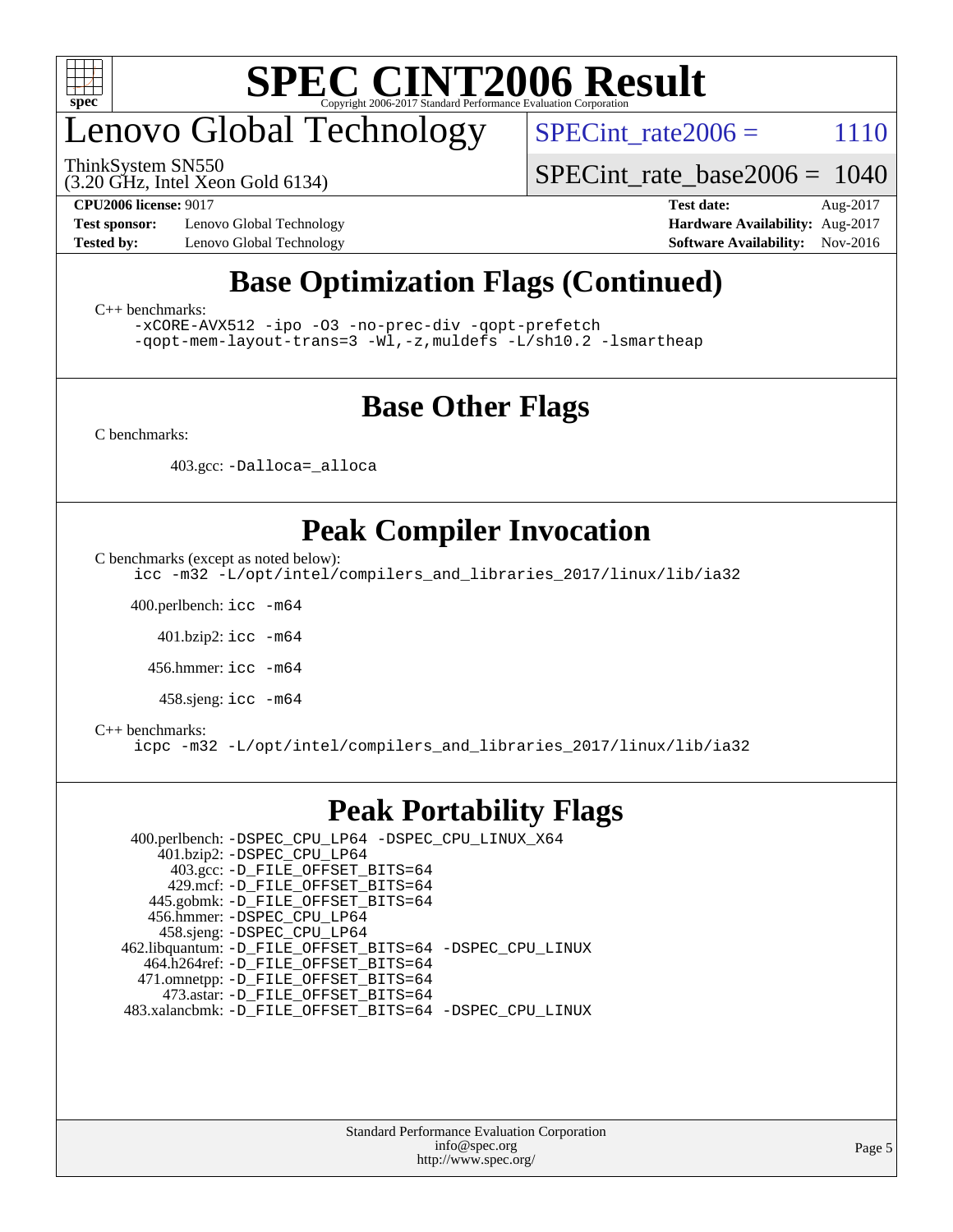

## enovo Global Technology

ThinkSystem SN550

SPECint rate $2006 = 1110$ 

[SPECint\\_rate\\_base2006 =](http://www.spec.org/auto/cpu2006/Docs/result-fields.html#SPECintratebase2006) 1040

(3.20 GHz, Intel Xeon Gold 6134)

**[Test sponsor:](http://www.spec.org/auto/cpu2006/Docs/result-fields.html#Testsponsor)** Lenovo Global Technology **[Hardware Availability:](http://www.spec.org/auto/cpu2006/Docs/result-fields.html#HardwareAvailability)** Aug-2017

**[CPU2006 license:](http://www.spec.org/auto/cpu2006/Docs/result-fields.html#CPU2006license)** 9017 **[Test date:](http://www.spec.org/auto/cpu2006/Docs/result-fields.html#Testdate)** Aug-2017 **[Tested by:](http://www.spec.org/auto/cpu2006/Docs/result-fields.html#Testedby)** Lenovo Global Technology **[Software Availability:](http://www.spec.org/auto/cpu2006/Docs/result-fields.html#SoftwareAvailability)** Nov-2016

### **[Base Optimization Flags \(Continued\)](http://www.spec.org/auto/cpu2006/Docs/result-fields.html#BaseOptimizationFlags)**

[C++ benchmarks:](http://www.spec.org/auto/cpu2006/Docs/result-fields.html#CXXbenchmarks)

[-xCORE-AVX512](http://www.spec.org/cpu2006/results/res2017q4/cpu2006-20170918-50093.flags.html#user_CXXbase_f-xCORE-AVX512) [-ipo](http://www.spec.org/cpu2006/results/res2017q4/cpu2006-20170918-50093.flags.html#user_CXXbase_f-ipo) [-O3](http://www.spec.org/cpu2006/results/res2017q4/cpu2006-20170918-50093.flags.html#user_CXXbase_f-O3) [-no-prec-div](http://www.spec.org/cpu2006/results/res2017q4/cpu2006-20170918-50093.flags.html#user_CXXbase_f-no-prec-div) [-qopt-prefetch](http://www.spec.org/cpu2006/results/res2017q4/cpu2006-20170918-50093.flags.html#user_CXXbase_f-qopt-prefetch) [-qopt-mem-layout-trans=3](http://www.spec.org/cpu2006/results/res2017q4/cpu2006-20170918-50093.flags.html#user_CXXbase_f-qopt-mem-layout-trans_170f5be61cd2cedc9b54468c59262d5d) [-Wl,-z,muldefs](http://www.spec.org/cpu2006/results/res2017q4/cpu2006-20170918-50093.flags.html#user_CXXbase_link_force_multiple1_74079c344b956b9658436fd1b6dd3a8a) [-L/sh10.2 -lsmartheap](http://www.spec.org/cpu2006/results/res2017q4/cpu2006-20170918-50093.flags.html#user_CXXbase_SmartHeap_b831f2d313e2fffa6dfe3f00ffc1f1c0)

### **[Base Other Flags](http://www.spec.org/auto/cpu2006/Docs/result-fields.html#BaseOtherFlags)**

[C benchmarks](http://www.spec.org/auto/cpu2006/Docs/result-fields.html#Cbenchmarks):

403.gcc: [-Dalloca=\\_alloca](http://www.spec.org/cpu2006/results/res2017q4/cpu2006-20170918-50093.flags.html#b403.gcc_baseEXTRA_CFLAGS_Dalloca_be3056838c12de2578596ca5467af7f3)

### **[Peak Compiler Invocation](http://www.spec.org/auto/cpu2006/Docs/result-fields.html#PeakCompilerInvocation)**

[C benchmarks \(except as noted below\)](http://www.spec.org/auto/cpu2006/Docs/result-fields.html#Cbenchmarksexceptasnotedbelow):

[icc -m32 -L/opt/intel/compilers\\_and\\_libraries\\_2017/linux/lib/ia32](http://www.spec.org/cpu2006/results/res2017q4/cpu2006-20170918-50093.flags.html#user_CCpeak_intel_icc_c29f3ff5a7ed067b11e4ec10a03f03ae)

400.perlbench: [icc -m64](http://www.spec.org/cpu2006/results/res2017q4/cpu2006-20170918-50093.flags.html#user_peakCCLD400_perlbench_intel_icc_64bit_bda6cc9af1fdbb0edc3795bac97ada53)

401.bzip2: [icc -m64](http://www.spec.org/cpu2006/results/res2017q4/cpu2006-20170918-50093.flags.html#user_peakCCLD401_bzip2_intel_icc_64bit_bda6cc9af1fdbb0edc3795bac97ada53)

456.hmmer: [icc -m64](http://www.spec.org/cpu2006/results/res2017q4/cpu2006-20170918-50093.flags.html#user_peakCCLD456_hmmer_intel_icc_64bit_bda6cc9af1fdbb0edc3795bac97ada53)

458.sjeng: [icc -m64](http://www.spec.org/cpu2006/results/res2017q4/cpu2006-20170918-50093.flags.html#user_peakCCLD458_sjeng_intel_icc_64bit_bda6cc9af1fdbb0edc3795bac97ada53)

#### [C++ benchmarks:](http://www.spec.org/auto/cpu2006/Docs/result-fields.html#CXXbenchmarks)

[icpc -m32 -L/opt/intel/compilers\\_and\\_libraries\\_2017/linux/lib/ia32](http://www.spec.org/cpu2006/results/res2017q4/cpu2006-20170918-50093.flags.html#user_CXXpeak_intel_icpc_8c35c7808b62dab9ae41a1aa06361b6b)

#### **[Peak Portability Flags](http://www.spec.org/auto/cpu2006/Docs/result-fields.html#PeakPortabilityFlags)**

 400.perlbench: [-DSPEC\\_CPU\\_LP64](http://www.spec.org/cpu2006/results/res2017q4/cpu2006-20170918-50093.flags.html#b400.perlbench_peakCPORTABILITY_DSPEC_CPU_LP64) [-DSPEC\\_CPU\\_LINUX\\_X64](http://www.spec.org/cpu2006/results/res2017q4/cpu2006-20170918-50093.flags.html#b400.perlbench_peakCPORTABILITY_DSPEC_CPU_LINUX_X64) 401.bzip2: [-DSPEC\\_CPU\\_LP64](http://www.spec.org/cpu2006/results/res2017q4/cpu2006-20170918-50093.flags.html#suite_peakCPORTABILITY401_bzip2_DSPEC_CPU_LP64) 403.gcc: [-D\\_FILE\\_OFFSET\\_BITS=64](http://www.spec.org/cpu2006/results/res2017q4/cpu2006-20170918-50093.flags.html#user_peakPORTABILITY403_gcc_file_offset_bits_64_438cf9856305ebd76870a2c6dc2689ab) 429.mcf: [-D\\_FILE\\_OFFSET\\_BITS=64](http://www.spec.org/cpu2006/results/res2017q4/cpu2006-20170918-50093.flags.html#user_peakPORTABILITY429_mcf_file_offset_bits_64_438cf9856305ebd76870a2c6dc2689ab) 445.gobmk: [-D\\_FILE\\_OFFSET\\_BITS=64](http://www.spec.org/cpu2006/results/res2017q4/cpu2006-20170918-50093.flags.html#user_peakPORTABILITY445_gobmk_file_offset_bits_64_438cf9856305ebd76870a2c6dc2689ab) 456.hmmer: [-DSPEC\\_CPU\\_LP64](http://www.spec.org/cpu2006/results/res2017q4/cpu2006-20170918-50093.flags.html#suite_peakCPORTABILITY456_hmmer_DSPEC_CPU_LP64) 458.sjeng: [-DSPEC\\_CPU\\_LP64](http://www.spec.org/cpu2006/results/res2017q4/cpu2006-20170918-50093.flags.html#suite_peakCPORTABILITY458_sjeng_DSPEC_CPU_LP64) 462.libquantum: [-D\\_FILE\\_OFFSET\\_BITS=64](http://www.spec.org/cpu2006/results/res2017q4/cpu2006-20170918-50093.flags.html#user_peakPORTABILITY462_libquantum_file_offset_bits_64_438cf9856305ebd76870a2c6dc2689ab) [-DSPEC\\_CPU\\_LINUX](http://www.spec.org/cpu2006/results/res2017q4/cpu2006-20170918-50093.flags.html#b462.libquantum_peakCPORTABILITY_DSPEC_CPU_LINUX) 464.h264ref: [-D\\_FILE\\_OFFSET\\_BITS=64](http://www.spec.org/cpu2006/results/res2017q4/cpu2006-20170918-50093.flags.html#user_peakPORTABILITY464_h264ref_file_offset_bits_64_438cf9856305ebd76870a2c6dc2689ab) 471.omnetpp: [-D\\_FILE\\_OFFSET\\_BITS=64](http://www.spec.org/cpu2006/results/res2017q4/cpu2006-20170918-50093.flags.html#user_peakPORTABILITY471_omnetpp_file_offset_bits_64_438cf9856305ebd76870a2c6dc2689ab) 473.astar: [-D\\_FILE\\_OFFSET\\_BITS=64](http://www.spec.org/cpu2006/results/res2017q4/cpu2006-20170918-50093.flags.html#user_peakPORTABILITY473_astar_file_offset_bits_64_438cf9856305ebd76870a2c6dc2689ab) 483.xalancbmk: [-D\\_FILE\\_OFFSET\\_BITS=64](http://www.spec.org/cpu2006/results/res2017q4/cpu2006-20170918-50093.flags.html#user_peakPORTABILITY483_xalancbmk_file_offset_bits_64_438cf9856305ebd76870a2c6dc2689ab) [-DSPEC\\_CPU\\_LINUX](http://www.spec.org/cpu2006/results/res2017q4/cpu2006-20170918-50093.flags.html#b483.xalancbmk_peakCXXPORTABILITY_DSPEC_CPU_LINUX)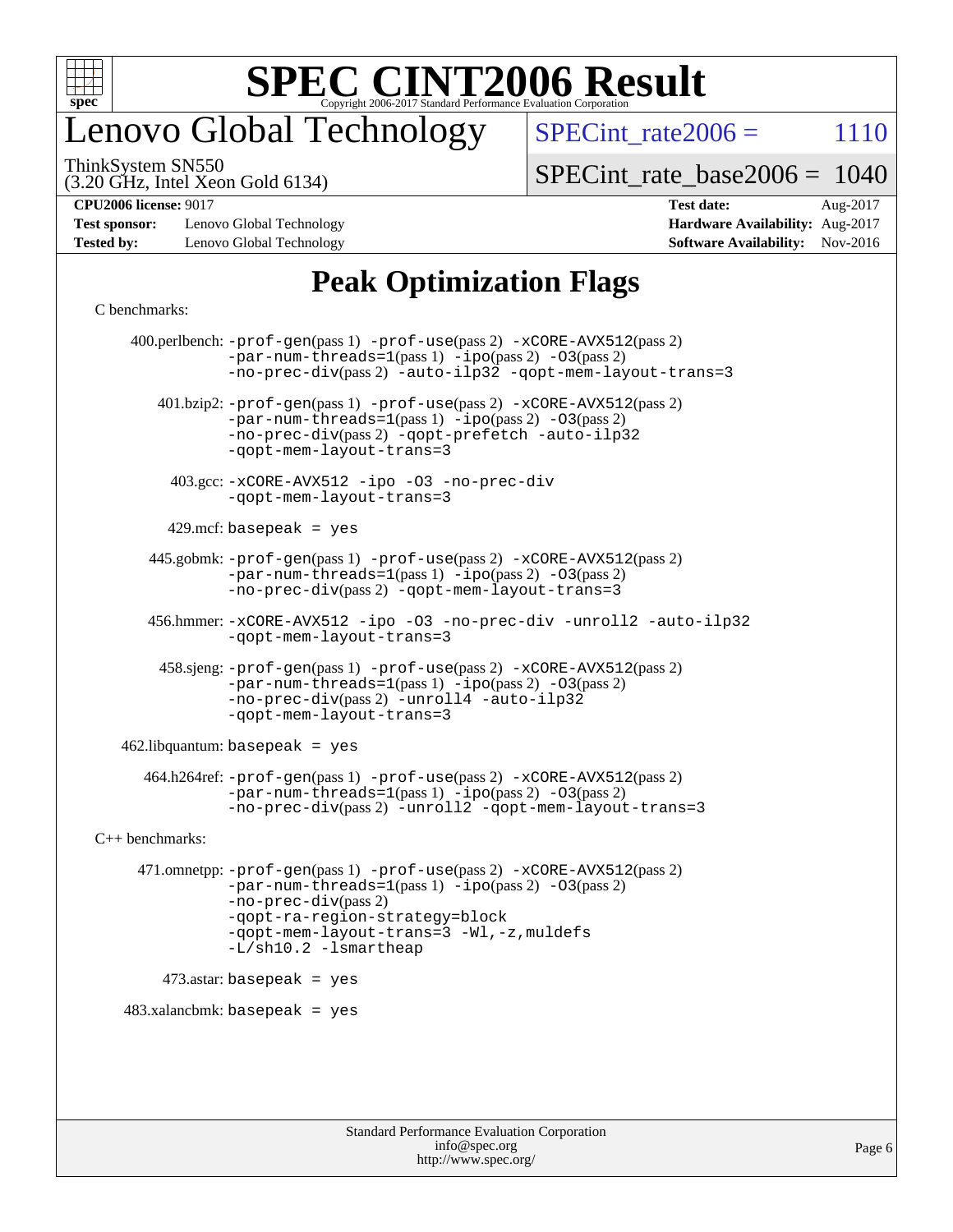

## enovo Global Technology

SPECint rate $2006 = 1110$ 

ThinkSystem SN550

(3.20 GHz, Intel Xeon Gold 6134)

[SPECint\\_rate\\_base2006 =](http://www.spec.org/auto/cpu2006/Docs/result-fields.html#SPECintratebase2006) 1040

**[Test sponsor:](http://www.spec.org/auto/cpu2006/Docs/result-fields.html#Testsponsor)** Lenovo Global Technology **[Hardware Availability:](http://www.spec.org/auto/cpu2006/Docs/result-fields.html#HardwareAvailability)** Aug-2017 **[Tested by:](http://www.spec.org/auto/cpu2006/Docs/result-fields.html#Testedby)** Lenovo Global Technology **[Software Availability:](http://www.spec.org/auto/cpu2006/Docs/result-fields.html#SoftwareAvailability)** Nov-2016

**[CPU2006 license:](http://www.spec.org/auto/cpu2006/Docs/result-fields.html#CPU2006license)** 9017 **[Test date:](http://www.spec.org/auto/cpu2006/Docs/result-fields.html#Testdate)** Aug-2017

### **[Peak Optimization Flags](http://www.spec.org/auto/cpu2006/Docs/result-fields.html#PeakOptimizationFlags)**

#### [C benchmarks](http://www.spec.org/auto/cpu2006/Docs/result-fields.html#Cbenchmarks):

 400.perlbench: [-prof-gen](http://www.spec.org/cpu2006/results/res2017q4/cpu2006-20170918-50093.flags.html#user_peakPASS1_CFLAGSPASS1_LDCFLAGS400_perlbench_prof_gen_e43856698f6ca7b7e442dfd80e94a8fc)(pass 1) [-prof-use](http://www.spec.org/cpu2006/results/res2017q4/cpu2006-20170918-50093.flags.html#user_peakPASS2_CFLAGSPASS2_LDCFLAGS400_perlbench_prof_use_bccf7792157ff70d64e32fe3e1250b55)(pass 2) [-xCORE-AVX512](http://www.spec.org/cpu2006/results/res2017q4/cpu2006-20170918-50093.flags.html#user_peakPASS2_CFLAGSPASS2_LDCFLAGS400_perlbench_f-xCORE-AVX512)(pass 2)  $-par-num-threads=1(pass 1) -ipo(pass 2) -O3(pass 2)$  $-par-num-threads=1(pass 1) -ipo(pass 2) -O3(pass 2)$  $-par-num-threads=1(pass 1) -ipo(pass 2) -O3(pass 2)$  $-par-num-threads=1(pass 1) -ipo(pass 2) -O3(pass 2)$  $-par-num-threads=1(pass 1) -ipo(pass 2) -O3(pass 2)$  $-par-num-threads=1(pass 1) -ipo(pass 2) -O3(pass 2)$ [-no-prec-div](http://www.spec.org/cpu2006/results/res2017q4/cpu2006-20170918-50093.flags.html#user_peakPASS2_CFLAGSPASS2_LDCFLAGS400_perlbench_f-no-prec-div)(pass 2) [-auto-ilp32](http://www.spec.org/cpu2006/results/res2017q4/cpu2006-20170918-50093.flags.html#user_peakCOPTIMIZE400_perlbench_f-auto-ilp32) [-qopt-mem-layout-trans=3](http://www.spec.org/cpu2006/results/res2017q4/cpu2006-20170918-50093.flags.html#user_peakCOPTIMIZE400_perlbench_f-qopt-mem-layout-trans_170f5be61cd2cedc9b54468c59262d5d) 401.bzip2: [-prof-gen](http://www.spec.org/cpu2006/results/res2017q4/cpu2006-20170918-50093.flags.html#user_peakPASS1_CFLAGSPASS1_LDCFLAGS401_bzip2_prof_gen_e43856698f6ca7b7e442dfd80e94a8fc)(pass 1) [-prof-use](http://www.spec.org/cpu2006/results/res2017q4/cpu2006-20170918-50093.flags.html#user_peakPASS2_CFLAGSPASS2_LDCFLAGS401_bzip2_prof_use_bccf7792157ff70d64e32fe3e1250b55)(pass 2) [-xCORE-AVX512](http://www.spec.org/cpu2006/results/res2017q4/cpu2006-20170918-50093.flags.html#user_peakPASS2_CFLAGSPASS2_LDCFLAGS401_bzip2_f-xCORE-AVX512)(pass 2) [-par-num-threads=1](http://www.spec.org/cpu2006/results/res2017q4/cpu2006-20170918-50093.flags.html#user_peakPASS1_CFLAGSPASS1_LDCFLAGS401_bzip2_par_num_threads_786a6ff141b4e9e90432e998842df6c2)(pass 1) [-ipo](http://www.spec.org/cpu2006/results/res2017q4/cpu2006-20170918-50093.flags.html#user_peakPASS2_CFLAGSPASS2_LDCFLAGS401_bzip2_f-ipo)(pass 2) [-O3](http://www.spec.org/cpu2006/results/res2017q4/cpu2006-20170918-50093.flags.html#user_peakPASS2_CFLAGSPASS2_LDCFLAGS401_bzip2_f-O3)(pass 2) [-no-prec-div](http://www.spec.org/cpu2006/results/res2017q4/cpu2006-20170918-50093.flags.html#user_peakPASS2_CFLAGSPASS2_LDCFLAGS401_bzip2_f-no-prec-div)(pass 2) [-qopt-prefetch](http://www.spec.org/cpu2006/results/res2017q4/cpu2006-20170918-50093.flags.html#user_peakCOPTIMIZE401_bzip2_f-qopt-prefetch) [-auto-ilp32](http://www.spec.org/cpu2006/results/res2017q4/cpu2006-20170918-50093.flags.html#user_peakCOPTIMIZE401_bzip2_f-auto-ilp32) [-qopt-mem-layout-trans=3](http://www.spec.org/cpu2006/results/res2017q4/cpu2006-20170918-50093.flags.html#user_peakCOPTIMIZE401_bzip2_f-qopt-mem-layout-trans_170f5be61cd2cedc9b54468c59262d5d) 403.gcc: [-xCORE-AVX512](http://www.spec.org/cpu2006/results/res2017q4/cpu2006-20170918-50093.flags.html#user_peakOPTIMIZE403_gcc_f-xCORE-AVX512) [-ipo](http://www.spec.org/cpu2006/results/res2017q4/cpu2006-20170918-50093.flags.html#user_peakOPTIMIZE403_gcc_f-ipo) [-O3](http://www.spec.org/cpu2006/results/res2017q4/cpu2006-20170918-50093.flags.html#user_peakOPTIMIZE403_gcc_f-O3) [-no-prec-div](http://www.spec.org/cpu2006/results/res2017q4/cpu2006-20170918-50093.flags.html#user_peakOPTIMIZE403_gcc_f-no-prec-div) [-qopt-mem-layout-trans=3](http://www.spec.org/cpu2006/results/res2017q4/cpu2006-20170918-50093.flags.html#user_peakCOPTIMIZE403_gcc_f-qopt-mem-layout-trans_170f5be61cd2cedc9b54468c59262d5d)  $429$ .mcf: basepeak = yes 445.gobmk: [-prof-gen](http://www.spec.org/cpu2006/results/res2017q4/cpu2006-20170918-50093.flags.html#user_peakPASS1_CFLAGSPASS1_LDCFLAGS445_gobmk_prof_gen_e43856698f6ca7b7e442dfd80e94a8fc)(pass 1) [-prof-use](http://www.spec.org/cpu2006/results/res2017q4/cpu2006-20170918-50093.flags.html#user_peakPASS2_CFLAGSPASS2_LDCFLAGSPASS2_LDFLAGS445_gobmk_prof_use_bccf7792157ff70d64e32fe3e1250b55)(pass 2) [-xCORE-AVX512](http://www.spec.org/cpu2006/results/res2017q4/cpu2006-20170918-50093.flags.html#user_peakPASS2_CFLAGSPASS2_LDCFLAGSPASS2_LDFLAGS445_gobmk_f-xCORE-AVX512)(pass 2) [-par-num-threads=1](http://www.spec.org/cpu2006/results/res2017q4/cpu2006-20170918-50093.flags.html#user_peakPASS1_CFLAGSPASS1_LDCFLAGS445_gobmk_par_num_threads_786a6ff141b4e9e90432e998842df6c2)(pass 1) [-ipo](http://www.spec.org/cpu2006/results/res2017q4/cpu2006-20170918-50093.flags.html#user_peakPASS2_LDCFLAGS445_gobmk_f-ipo)(pass 2) [-O3](http://www.spec.org/cpu2006/results/res2017q4/cpu2006-20170918-50093.flags.html#user_peakPASS2_LDCFLAGS445_gobmk_f-O3)(pass 2) [-no-prec-div](http://www.spec.org/cpu2006/results/res2017q4/cpu2006-20170918-50093.flags.html#user_peakPASS2_LDCFLAGS445_gobmk_f-no-prec-div)(pass 2) [-qopt-mem-layout-trans=3](http://www.spec.org/cpu2006/results/res2017q4/cpu2006-20170918-50093.flags.html#user_peakCOPTIMIZE445_gobmk_f-qopt-mem-layout-trans_170f5be61cd2cedc9b54468c59262d5d) 456.hmmer: [-xCORE-AVX512](http://www.spec.org/cpu2006/results/res2017q4/cpu2006-20170918-50093.flags.html#user_peakOPTIMIZE456_hmmer_f-xCORE-AVX512) [-ipo](http://www.spec.org/cpu2006/results/res2017q4/cpu2006-20170918-50093.flags.html#user_peakOPTIMIZE456_hmmer_f-ipo) [-O3](http://www.spec.org/cpu2006/results/res2017q4/cpu2006-20170918-50093.flags.html#user_peakOPTIMIZE456_hmmer_f-O3) [-no-prec-div](http://www.spec.org/cpu2006/results/res2017q4/cpu2006-20170918-50093.flags.html#user_peakOPTIMIZE456_hmmer_f-no-prec-div) [-unroll2](http://www.spec.org/cpu2006/results/res2017q4/cpu2006-20170918-50093.flags.html#user_peakCOPTIMIZE456_hmmer_f-unroll_784dae83bebfb236979b41d2422d7ec2) [-auto-ilp32](http://www.spec.org/cpu2006/results/res2017q4/cpu2006-20170918-50093.flags.html#user_peakCOPTIMIZE456_hmmer_f-auto-ilp32) [-qopt-mem-layout-trans=3](http://www.spec.org/cpu2006/results/res2017q4/cpu2006-20170918-50093.flags.html#user_peakCOPTIMIZE456_hmmer_f-qopt-mem-layout-trans_170f5be61cd2cedc9b54468c59262d5d) 458.sjeng: [-prof-gen](http://www.spec.org/cpu2006/results/res2017q4/cpu2006-20170918-50093.flags.html#user_peakPASS1_CFLAGSPASS1_LDCFLAGS458_sjeng_prof_gen_e43856698f6ca7b7e442dfd80e94a8fc)(pass 1) [-prof-use](http://www.spec.org/cpu2006/results/res2017q4/cpu2006-20170918-50093.flags.html#user_peakPASS2_CFLAGSPASS2_LDCFLAGS458_sjeng_prof_use_bccf7792157ff70d64e32fe3e1250b55)(pass 2) [-xCORE-AVX512](http://www.spec.org/cpu2006/results/res2017q4/cpu2006-20170918-50093.flags.html#user_peakPASS2_CFLAGSPASS2_LDCFLAGS458_sjeng_f-xCORE-AVX512)(pass 2) [-par-num-threads=1](http://www.spec.org/cpu2006/results/res2017q4/cpu2006-20170918-50093.flags.html#user_peakPASS1_CFLAGSPASS1_LDCFLAGS458_sjeng_par_num_threads_786a6ff141b4e9e90432e998842df6c2)(pass 1) [-ipo](http://www.spec.org/cpu2006/results/res2017q4/cpu2006-20170918-50093.flags.html#user_peakPASS2_CFLAGSPASS2_LDCFLAGS458_sjeng_f-ipo)(pass 2) [-O3](http://www.spec.org/cpu2006/results/res2017q4/cpu2006-20170918-50093.flags.html#user_peakPASS2_CFLAGSPASS2_LDCFLAGS458_sjeng_f-O3)(pass 2) [-no-prec-div](http://www.spec.org/cpu2006/results/res2017q4/cpu2006-20170918-50093.flags.html#user_peakPASS2_CFLAGSPASS2_LDCFLAGS458_sjeng_f-no-prec-div)(pass 2) [-unroll4](http://www.spec.org/cpu2006/results/res2017q4/cpu2006-20170918-50093.flags.html#user_peakCOPTIMIZE458_sjeng_f-unroll_4e5e4ed65b7fd20bdcd365bec371b81f) [-auto-ilp32](http://www.spec.org/cpu2006/results/res2017q4/cpu2006-20170918-50093.flags.html#user_peakCOPTIMIZE458_sjeng_f-auto-ilp32) [-qopt-mem-layout-trans=3](http://www.spec.org/cpu2006/results/res2017q4/cpu2006-20170918-50093.flags.html#user_peakCOPTIMIZE458_sjeng_f-qopt-mem-layout-trans_170f5be61cd2cedc9b54468c59262d5d)  $462$ .libquantum: basepeak = yes 464.h264ref: [-prof-gen](http://www.spec.org/cpu2006/results/res2017q4/cpu2006-20170918-50093.flags.html#user_peakPASS1_CFLAGSPASS1_LDCFLAGS464_h264ref_prof_gen_e43856698f6ca7b7e442dfd80e94a8fc)(pass 1) [-prof-use](http://www.spec.org/cpu2006/results/res2017q4/cpu2006-20170918-50093.flags.html#user_peakPASS2_CFLAGSPASS2_LDCFLAGS464_h264ref_prof_use_bccf7792157ff70d64e32fe3e1250b55)(pass 2) [-xCORE-AVX512](http://www.spec.org/cpu2006/results/res2017q4/cpu2006-20170918-50093.flags.html#user_peakPASS2_CFLAGSPASS2_LDCFLAGS464_h264ref_f-xCORE-AVX512)(pass 2) [-par-num-threads=1](http://www.spec.org/cpu2006/results/res2017q4/cpu2006-20170918-50093.flags.html#user_peakPASS1_CFLAGSPASS1_LDCFLAGS464_h264ref_par_num_threads_786a6ff141b4e9e90432e998842df6c2)(pass 1) [-ipo](http://www.spec.org/cpu2006/results/res2017q4/cpu2006-20170918-50093.flags.html#user_peakPASS2_CFLAGSPASS2_LDCFLAGS464_h264ref_f-ipo)(pass 2) [-O3](http://www.spec.org/cpu2006/results/res2017q4/cpu2006-20170918-50093.flags.html#user_peakPASS2_CFLAGSPASS2_LDCFLAGS464_h264ref_f-O3)(pass 2) [-no-prec-div](http://www.spec.org/cpu2006/results/res2017q4/cpu2006-20170918-50093.flags.html#user_peakPASS2_CFLAGSPASS2_LDCFLAGS464_h264ref_f-no-prec-div)(pass 2) [-unroll2](http://www.spec.org/cpu2006/results/res2017q4/cpu2006-20170918-50093.flags.html#user_peakCOPTIMIZE464_h264ref_f-unroll_784dae83bebfb236979b41d2422d7ec2) [-qopt-mem-layout-trans=3](http://www.spec.org/cpu2006/results/res2017q4/cpu2006-20170918-50093.flags.html#user_peakCOPTIMIZE464_h264ref_f-qopt-mem-layout-trans_170f5be61cd2cedc9b54468c59262d5d) [C++ benchmarks:](http://www.spec.org/auto/cpu2006/Docs/result-fields.html#CXXbenchmarks) 471.omnetpp: [-prof-gen](http://www.spec.org/cpu2006/results/res2017q4/cpu2006-20170918-50093.flags.html#user_peakPASS1_CXXFLAGSPASS1_LDCXXFLAGS471_omnetpp_prof_gen_e43856698f6ca7b7e442dfd80e94a8fc)(pass 1) [-prof-use](http://www.spec.org/cpu2006/results/res2017q4/cpu2006-20170918-50093.flags.html#user_peakPASS2_CXXFLAGSPASS2_LDCXXFLAGS471_omnetpp_prof_use_bccf7792157ff70d64e32fe3e1250b55)(pass 2) [-xCORE-AVX512](http://www.spec.org/cpu2006/results/res2017q4/cpu2006-20170918-50093.flags.html#user_peakPASS2_CXXFLAGSPASS2_LDCXXFLAGS471_omnetpp_f-xCORE-AVX512)(pass 2) [-par-num-threads=1](http://www.spec.org/cpu2006/results/res2017q4/cpu2006-20170918-50093.flags.html#user_peakPASS1_CXXFLAGSPASS1_LDCXXFLAGS471_omnetpp_par_num_threads_786a6ff141b4e9e90432e998842df6c2)(pass 1) [-ipo](http://www.spec.org/cpu2006/results/res2017q4/cpu2006-20170918-50093.flags.html#user_peakPASS2_CXXFLAGSPASS2_LDCXXFLAGS471_omnetpp_f-ipo)(pass 2) [-O3](http://www.spec.org/cpu2006/results/res2017q4/cpu2006-20170918-50093.flags.html#user_peakPASS2_CXXFLAGSPASS2_LDCXXFLAGS471_omnetpp_f-O3)(pass 2) [-no-prec-div](http://www.spec.org/cpu2006/results/res2017q4/cpu2006-20170918-50093.flags.html#user_peakPASS2_CXXFLAGSPASS2_LDCXXFLAGS471_omnetpp_f-no-prec-div)(pass 2) [-qopt-ra-region-strategy=block](http://www.spec.org/cpu2006/results/res2017q4/cpu2006-20170918-50093.flags.html#user_peakCXXOPTIMIZE471_omnetpp_f-qopt-ra-region-strategy_430aa8f7c220cbde92ae827fa8d9be32)  [-qopt-mem-layout-trans=3](http://www.spec.org/cpu2006/results/res2017q4/cpu2006-20170918-50093.flags.html#user_peakCXXOPTIMIZE471_omnetpp_f-qopt-mem-layout-trans_170f5be61cd2cedc9b54468c59262d5d) [-Wl,-z,muldefs](http://www.spec.org/cpu2006/results/res2017q4/cpu2006-20170918-50093.flags.html#user_peakEXTRA_LDFLAGS471_omnetpp_link_force_multiple1_74079c344b956b9658436fd1b6dd3a8a) [-L/sh10.2 -lsmartheap](http://www.spec.org/cpu2006/results/res2017q4/cpu2006-20170918-50093.flags.html#user_peakEXTRA_LIBS471_omnetpp_SmartHeap_b831f2d313e2fffa6dfe3f00ffc1f1c0) 473.astar: basepeak = yes  $483.xalanchmk: basepeak = yes$